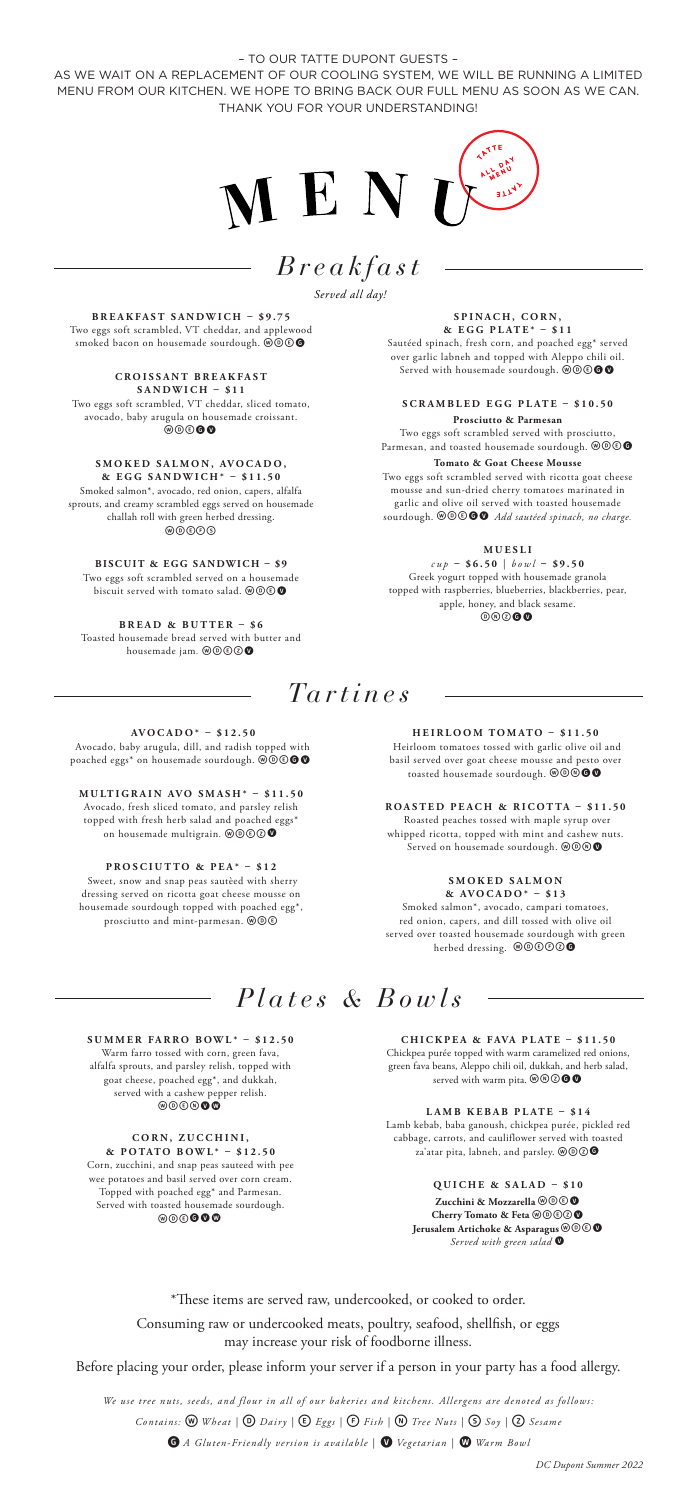– TO OUR TATTE DUPONT GUESTS –

AS WE WAIT ON A REPLACEMENT OF OUR COOLING SYSTEM, WE WILL BE RUNNING A LIMITED MENU FROM OUR KITCHEN. WE HOPE TO BRING BACK OUR FULL MENU AS SOON AS WE CAN. THANK YOU FOR YOUR UNDERSTANDING!

> *Breakfast Served all day!*



**BREAKFAST SANDWICH – \$9.75** Two eggs soft scrambled, VT cheddar, and applew smoked bacon on housemade sourdough.  $@@@@$ 

**C R O I S S A N T B R E A K F A S T SANDWICH – \$11** Two eggs soft scrambled, VT cheddar, sliced tomato, avocado, baby arugula on housemade croissant.<br>
©©©●

**S M O K E D S A L M O N , AV O C A D O , & EGG SANDWICH\* – \$11.50** Smoked salmon\*, avocado, red onion, capers, alfalfa sprouts, and creamy scrambled eggs served on housemade challah roll with green herbed dressing.<br>©©©©

**BISCUIT & EGG SANDWICH – \$9** Two eggs soft scrambled served on a housemade<br>biscuit served with tomato salad. @@©

**BREAD & BUTTER – \$6** Toasted housemade bread served with butter and<br>housemade jam. **@@@@** 

SPINACH, CORN. **& EGG PLATE\* – \$11**

Sautéed spinach, fresh corn, and poached egg\* served over garlic labneh and topped with Aleppo chili oil.<br>Served with housemade sourdough. @@**@@@** 

**SCRAMBLED EGG PLATE – \$10.50 Prosciutto & Parmesan** Two eggs soft scrambled served with prosciutto, Parmesan, and toasted housemade sourdough.  $\mathcal{O} \otimes \mathbf{C}$ 

**Tomato & Goat Cheese Mousse** Two eggs soft scrambled served with ricotta goat cheese mousse and sun-dried cherry tomatoes marinated in

garlic and olive oil served with toasted housemade sourdough. wdeGv *Add sautéed spinach, no charge.*

**M U E S L I** 

*cup* **– \$6.50** | *bowl* **– \$9.50** Greek yogurt topped with housemade granola topped with raspberries, blueberries, blackberries, pear, apple, honey, and black sesame.  $@@@@@@@$ 

*Tartines*

**AVOCADO\* – \$12.50** Avocado, baby arugula, dill, and radish topped with poached eggs\* on housemade sourdough.  $\circledcirc\circ\bullet\bullet$ 

**MULTIGRAIN AVO SMASH\* – \$11.50** Avocado, fresh sliced tomato, and parsley relish topped with fresh herb salad and poached eggs\* on housemade multigrain. @@**@@** 

**PROSCIUTTO & PEA\* – \$12** Sweet, snow and snap peas sautèed with sherry dressing served on ricotta goat cheese mousse on housemade sourdough topped with poached egg\*, prosciutto and mint-parmesan.  $\circledR$  $\circledR$ 

**SUMMER FARRO BOWL\* – \$12.50** Warm farro tossed with corn, green fava, alfalfa sprouts, and parsley relish, topped with goat cheese, poached egg\*, and dukkah, served with a cashew pepper relish.<br>  $\textcircled{\small 9} \textcircled{\small 1}$ 

**CORN, ZUCCHINI, & POTATO BOWL\* – \$12.50** Corn, zucchini, and snap peas sauteed with pee wee potatoes and basil served over corn cream. Topped with poached egg\* and Parmesan. Served with toasted housemade sourdough. wdegvw

**HEIRLOOM TOMATO – \$11.50** Heirloom tomatoes tossed with garlic olive oil and basil served over goat cheese mousse and pesto over toasted housemade sourdough.  $\circledast \circledast \bullet$ 

**ROASTED PEACH & RICOTTA – \$11.50** Roasted peaches tossed with maple syrup over whipped ricotta, topped with mint and cashew nuts. Served on housemade sourdough. @ O @

> **SMOKED SALMON & AVOCADO\* – \$13**

Smoked salmon\*, avocado, campari tomatoes, red onion, capers, and dill tossed with olive oil served over toasted housemade sourdough with green herbed dressing. @ @ 0000

## *Plates & Bowls*

**CHICKPEA & FAVA PLATE – \$11.50** Chickpea purée topped with warm caramelized red onions, green fava beans, Aleppo chili oil, dukkah, and herb salad, served with warm pita.  $\textcircled{w}\textcircled{0}$ 

**LAMB KEBAB PLATE – \$14** Lamb kebab, baba ganoush, chickpea purée, pickled red cabbage, carrots, and cauliflower served with toasted<br>za'atar pita, labneh, and parsley. @©②●

> **QUICHE & SALAD – \$10 Zucchini & Mozzarella**  $\mathcal{O}\mathcal{O}\oplus\mathbf{O}$ **Cherry Tomato & Feta @@@@ Jerusalem Artichoke & Asparagus**  $\textcircled{0}$  **O** *Served with green salad*

\*These items are served raw, undercooked, or cooked to order. Consuming raw or undercooked meats, poultry, seafood, shellfish, or eggs may increase your risk of foodborne illness.

Before placing your order, please inform your server if a person in your party has a food allergy.

*We use tree nuts, seeds, and flour in all of our bakeries and kitchens. Allergens are denoted as follows: Contains:* w *Wheat |* D *Dairy |* E*Eggs |* F*Fish |* n*Tree Nuts |* S*Soy |* Z*Sesame* 

**G** A Gluten-Friendly version is available  $\vert$  **W** Vegetarian  $\vert$  **W** Warm Bowl